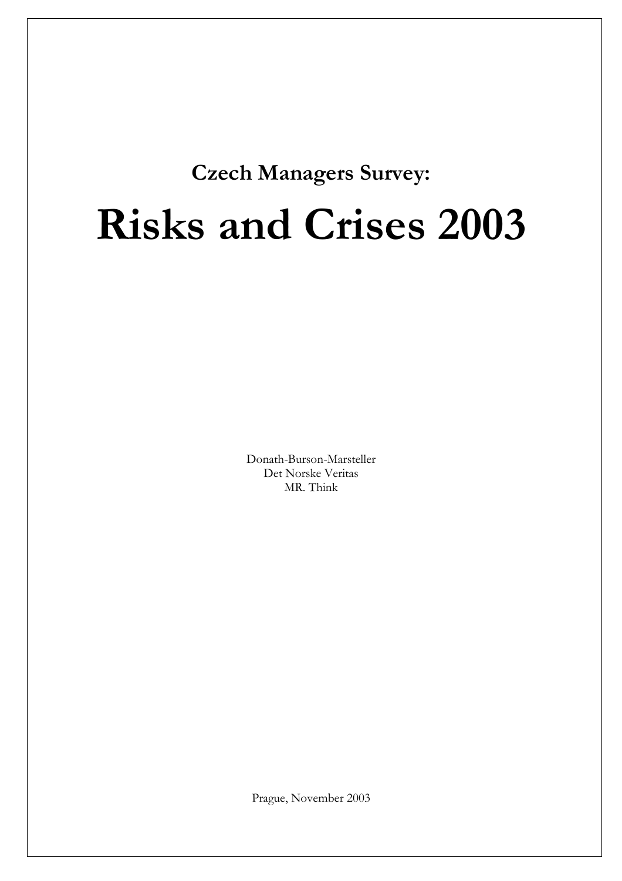# **Czech Managers Survey:**

# **Risks and Crises 2003**

Donath-Burson-Marsteller Det Norske Veritas MR. Think

Prague, November 2003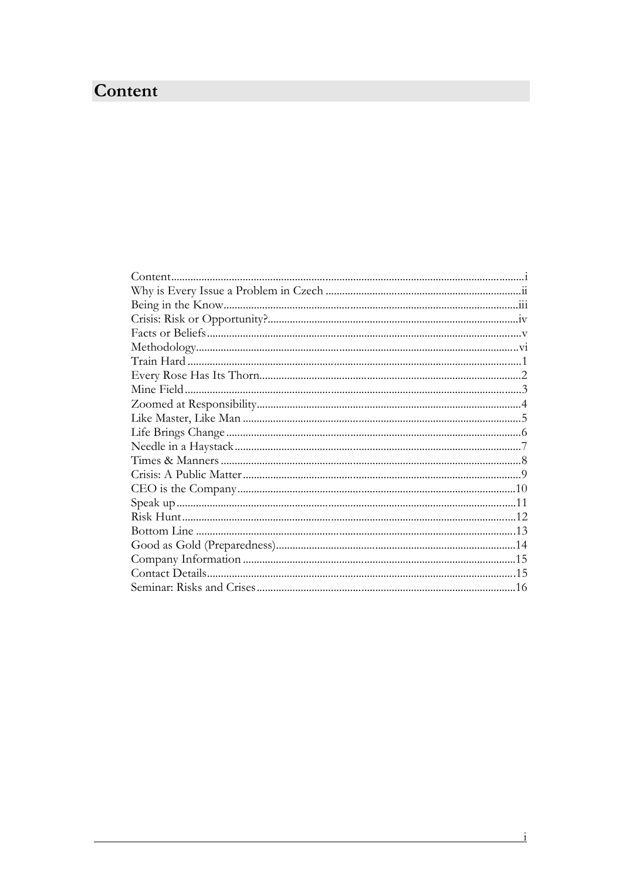## <span id="page-1-0"></span>Content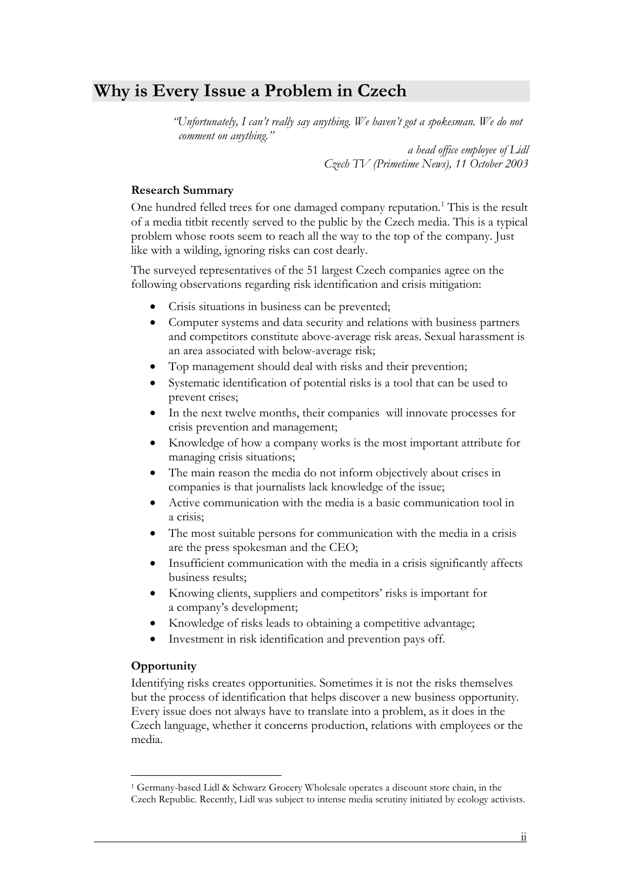### <span id="page-2-0"></span>**Why is Every Issue a Problem in Czech**

 *"Unfortunately, I can't really say anything. We haven't got a spokesman. We do not comment on anything."* 

> *a head office employee of Lidl Czech TV (Primetime News), 11 October 2003*

### **Research Summary**

One hundred felled trees for one damaged company reputation.<sup>[1](#page-2-1)</sup> This is the result of a media titbit recently served to the public by the Czech media. This is a typical problem whose roots seem to reach all the way to the top of the company. Just like with a wilding, ignoring risks can cost dearly.

The surveyed representatives of the 51 largest Czech companies agree on the following observations regarding risk identification and crisis mitigation:

- Crisis situations in business can be prevented;
- Computer systems and data security and relations with business partners and competitors constitute above-average risk areas. Sexual harassment is an area associated with below-average risk;
- Top management should deal with risks and their prevention;
- Systematic identification of potential risks is a tool that can be used to prevent crises;
- In the next twelve months, their companies will innovate processes for crisis prevention and management;
- Knowledge of how a company works is the most important attribute for managing crisis situations;
- The main reason the media do not inform objectively about crises in companies is that journalists lack knowledge of the issue;
- Active communication with the media is a basic communication tool in a crisis;
- The most suitable persons for communication with the media in a crisis are the press spokesman and the CEO;
- Insufficient communication with the media in a crisis significantly affects business results;
- Knowing clients, suppliers and competitors' risks is important for a company's development;
- Knowledge of risks leads to obtaining a competitive advantage;
- Investment in risk identification and prevention pays off.

### **Opportunity**

Identifying risks creates opportunities. Sometimes it is not the risks themselves but the process of identification that helps discover a new business opportunity. Czech language, whether it concerns production, relations with employees or the media. Every issue does not always have to translate into a problem, as it does in the

<span id="page-2-1"></span> $\overline{a}$ 1 Germany-based Lidl & Schwarz Grocery Wholesale operates a discount store chain, in the Czech Republic. Recently, Lidl was subject to intense media scrutiny initiated by ecology activists.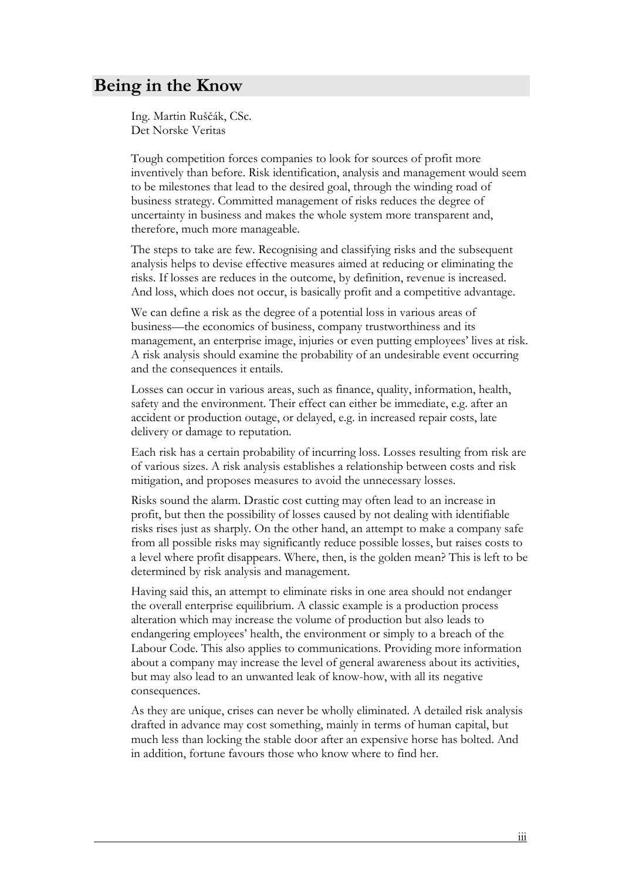### <span id="page-3-0"></span>**Being in the Know**

Ing. Martin Ruščák, CSc. Det Norske Veritas

Tough competition forces companies to look for sources of profit more inventively than before. Risk identification, analysis and management would seem to be milestones that lead to the desired goal, through the winding road of business strategy. Committed management of risks reduces the degree of uncertainty in business and makes the whole system more transparent and, therefore, much more manageable.

The steps to take are few. Recognising and classifying risks and the subsequent analysis helps to devise effective measures aimed at reducing or eliminating the risks. If losses are reduces in the outcome, by definition, revenue is increased. And loss, which does not occur, is basically profit and a competitive advantage.

We can define a risk as the degree of a potential loss in various areas of business—the economics of business, company trustworthiness and its management, an enterprise image, injuries or even putting employees' lives at risk. A risk analysis should examine the probability of an undesirable event occurring and the consequences it entails.

Losses can occur in various areas, such as finance, quality, information, health, safety and the environment. Their effect can either be immediate, e.g. after an accident or production outage, or delayed, e.g. in increased repair costs, late delivery or damage to reputation.

Each risk has a certain probability of incurring loss. Losses resulting from risk are of various sizes. A risk analysis establishes a relationship between costs and risk mitigation, and proposes measures to avoid the unnecessary losses.

Risks sound the alarm. Drastic cost cutting may often lead to an increase in profit, but then the possibility of losses caused by not dealing with identifiable from all possible risks may significantly reduce possible losses, but raises costs to a level where profit disappears. Where, then, is the golden mean? This is left to be determined by risk analysis and management. risks rises just as sharply. On the other hand, an attempt to make a company safe

Having said this, an attempt to eliminate risks in one area should not endanger the overall enterprise equilibrium. A classic example is a production process alteration which may increase the volume of production but also leads to endangering employees' health, the environment or simply to a breach of the about a company may increase the level of general awareness about its activities, but may also lead to an unwanted leak of know-how, with all its negative consequences. Labour Code. This also applies to communications. Providing more information

As they are unique, crises can never be wholly eliminated. A detailed risk analysis drafted in advance may cost something, mainly in terms of human capital, but much less than locking the stable door after an expensive horse has bolted. And in addition, fortune favours those who know where to find her.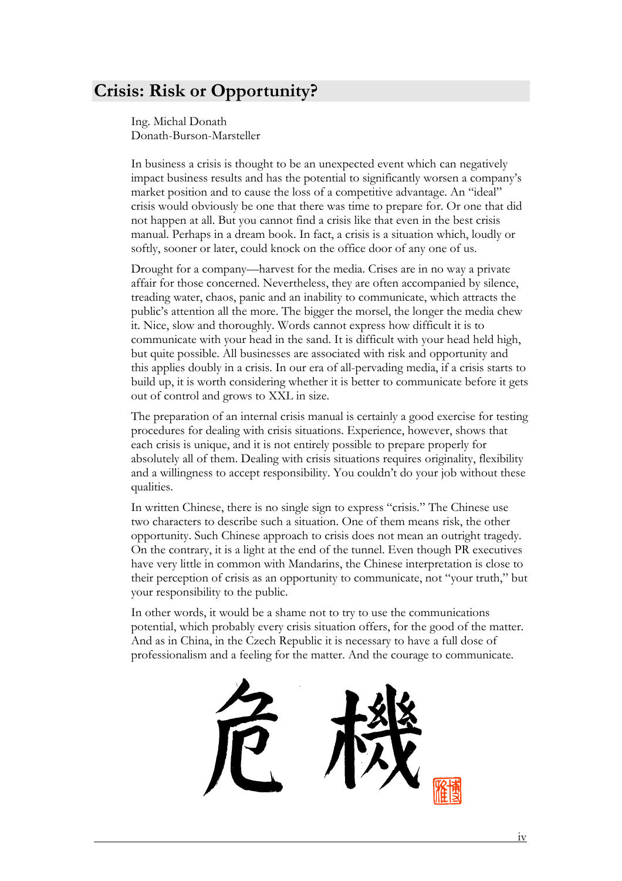### <span id="page-4-0"></span>**Crisis: Risk or Opportunity?**

Ing. Michal Donath Donath-Burson-Marsteller

In business a crisis is thought to be an unexpected event which can negatively impact business results and has the potential to significantly worsen a company's market position and to cause the loss of a competitive advantage. An "ideal" crisis would obviously be one that there was time to prepare for. Or one that did not happen at all. But you cannot find a crisis like that even in the best crisis manual. Perhaps in a dream book. In fact, a crisis is a situation which, loudly or softly, sooner or later, could knock on the office door of any one of us.

Drought for a company—harvest for the media. Crises are in no way a private affair for those concerned. Nevertheless, they are often accompanied by silence, treading water, chaos, panic and an inability to communicate, which attracts the public's attention all the more. The bigger the morsel, the longer the media chew it. Nice, slow and thoroughly. Words cannot express how difficult it is to communicate with your head in the sand. It is difficult with your head held high, but quite possible. All businesses are associated with risk and opportunity and this applies doubly in a crisis. In our era of all-pervading media, if a crisis starts to build up, it is worth considering whether it is better to communicate before it gets out of control and grows to XXL in size.

The preparation of an internal crisis manual is certainly a good exercise for testing each crisis is unique, and it is not entirely possible to prepare properly for absolutely all of them. Dealing with crisis situations requires originality, flexibility and a willingness to accept responsibility. You couldn't do your job without these qualities. procedures for dealing with crisis situations. Experience, however, shows that

In written Chinese, there is no single sign to express "crisis." The Chinese use two characters to describe such a situation. One of them means risk, the other opportunity. Such Chinese approach to crisis does not mean an outright tragedy. On the contrary, it is a light at the end of the tunnel. Even though PR executives have very little in common with Mandarins, the Chinese interpretation is close to their perception of crisis as an opportunity to communicate, not "your truth," but your responsibility to the public.

In other words, it would be a shame not to try to use the communications potential, which probably every crisis situation offers, for the good of the matter. And as in China, in the Czech Republic it is necessary to have a full dose of professionalism and a feeling for the matter. And the courage to communicate.

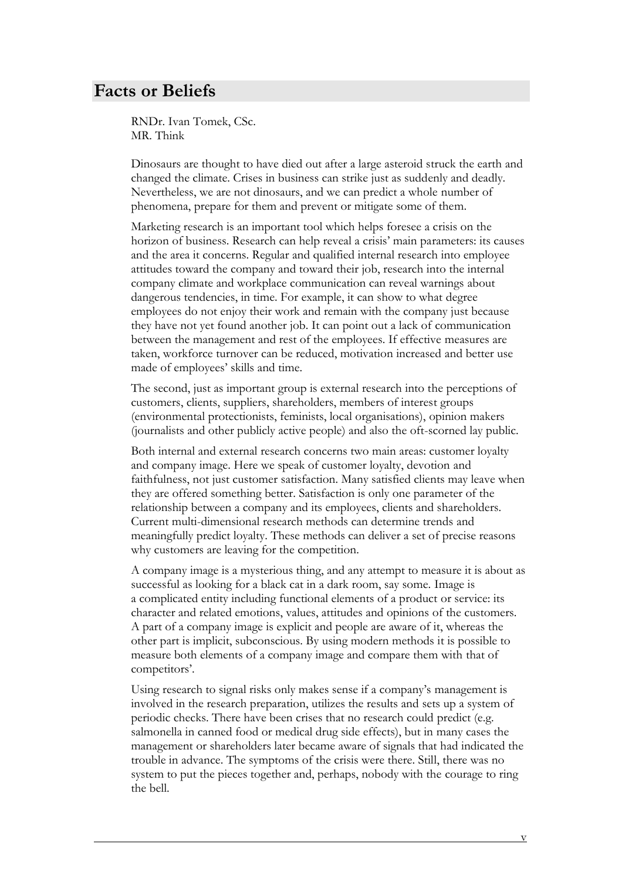### <span id="page-5-0"></span>**Facts or Beliefs**

RNDr. Ivan Tomek, CSc. MR. Think

Dinosaurs are thought to have died out after a large asteroid struck the earth and changed the climate. Crises in business can strike just as suddenly and deadly. Nevertheless, we are not dinosaurs, and we can predict a whole number of phenomena, prepare for them and prevent or mitigate some of them.

Marketing research is an important tool which helps foresee a crisis on the horizon of business. Research can help reveal a crisis' main parameters: its causes and the area it concerns. Regular and qualified internal research into employee attitudes toward the company and toward their job, research into the internal company climate and workplace communication can reveal warnings about dangerous tendencies, in time. For example, it can show to what degree employees do not enjoy their work and remain with the company just because they have not yet found another job. It can point out a lack of communication between the management and rest of the employees. If effective measures are taken, workforce turnover can be reduced, motivation increased and better use made of employees' skills and time.

The second, just as important group is external research into the perceptions of customers, clients, suppliers, shareholders, members of interest groups (environmental protectionists, feminists, local organisations), opinion makers (journalists and other publicly active people) and also the oft-scorned lay public.

Both internal and external research concerns two main areas: customer loyalty and company image. Here we speak of customer loyalty, devotion and faithfulness, not just customer satisfaction. Many satisfied clients may leave when they are offered something better. Satisfaction is only one parameter of the relationship between a company and its employees, clients and shareholders. meaningfully predict loyalty. These methods can deliver a set of precise reasons why customers are leaving for the competition. Current multi-dimensional research methods can determine trends and

A company image is a mysterious thing, and any attempt to measure it is about as successful as looking for a black cat in a dark room, say some. Image is a complicated entity including functional elements of a product or service: its character and related emotions, values, attitudes and opinions of the customers. A part of a company image is explicit and people are aware of it, whereas the other part is implicit, subconscious. By using modern methods it is possible to measure both elements of a company image and compare them with that of competitors'.

Using research to signal risks only makes sense if a company's management is involved in the research preparation, utilizes the results and sets up a system of periodic checks. There have been crises that no research could predict (e.g. salmonella in canned food or medical drug side effects), but in many cases the management or shareholders later became aware of signals that had indicated the trouble in advance. The symptoms of the crisis were there. Still, there was no system to put the pieces together and, perhaps, nobody with the courage to ring the bell.

v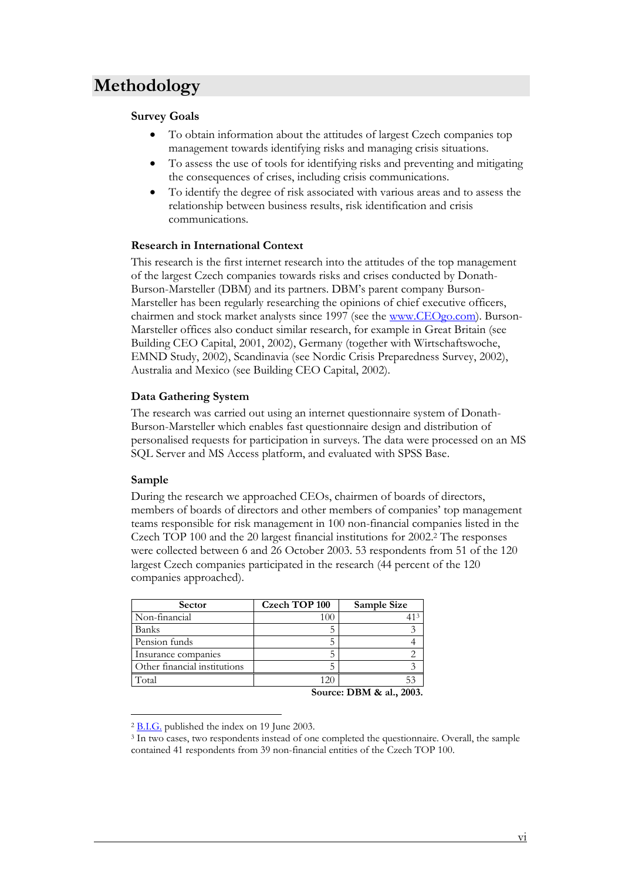### <span id="page-6-0"></span>**Methodology**

### **Survey Goals**

- To obtain information about the attitudes of largest Czech companies top management towards identifying risks and managing crisis situations.
- To assess the use of tools for identifying risks and preventing and mitigating the consequences of crises, including crisis communications.
- To identify the degree of risk associated with various areas and to assess the relationship between business results, risk identification and crisis communications.

#### **Research in International Context**

This research is the first internet research into the attitudes of the top management of the largest Czech companies towards risks and crises conducted by Donath-Burson-Marsteller (DBM) and its partners. DBM's parent company Burson-Marsteller has been regularly researching the opinions of chief executive officers, chairmen and stock market analysts since 1997 (see the [www.CEOgo.com](http://www.ceogo.com/)). Burson-Marsteller offices also conduct similar research, for example in Great Britain (see Building CEO Capital, 2001, 2002), Germany (together with Wirtschaftswoche, EMND Study, 2002), Scandinavia (see Nordic Crisis Preparedness Survey, 2002), Australia and Mexico (see Building CEO Capital, 2002).

### **Data Gathering System**

The research was carried out using an internet questionnaire system of Donath-Burson-Marsteller which enables fast questionnaire design and distribution of personalised requests for participation in surveys. The data were processed on an MS SQL Server and MS Access platform, and evaluated with SPSS Base.

### **Sample**

 $\overline{a}$ 

During the research we approached CEOs, chairmen of boards of directors, members of boards of directors and other members of companies' top management teams responsible for risk management in 100 non-financial companies listed in the Czech TOP 100 and the 20 largest financial institutions for 2002.[2](#page-6-1) The responses were collected between 6 and 26 October 2003. 53 respondents from 51 of the 120 largest Czech companies participated in the research (44 percent of the 120 companies approached).

| <b>Sector</b>                | <b>Czech TOP 100</b> | Sample Size |
|------------------------------|----------------------|-------------|
| Non-financial                | 100                  |             |
| <b>Banks</b>                 |                      |             |
| Pension funds                |                      |             |
| Insurance companies          |                      |             |
| Other financial institutions |                      |             |
| Total                        | 120                  |             |

**Source: DBM & al., 2003.**

<span id="page-6-2"></span>

<span id="page-6-1"></span> $\frac{2 \text{ B.I.G.}}{3 \text{ In two cases, two respondents instead of one completed the questionnaire. Overall, the sample}$ contained 41 respondents from 39 non-financial entities of the Czech TOP 100.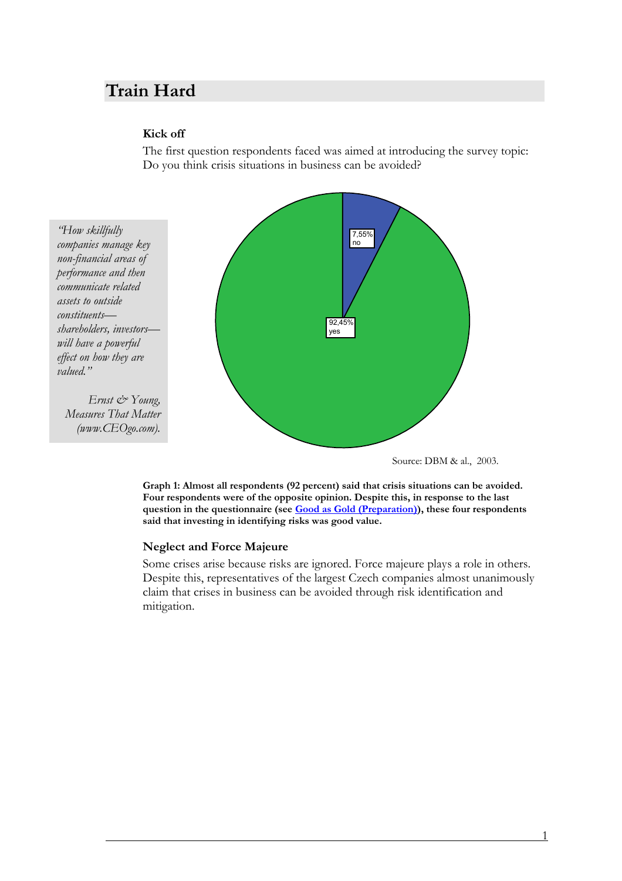### <span id="page-7-0"></span>**Train Hard**

### **Kick off**

The first question respondents faced was aimed at introducing the survey topic: Do you think crisis situations in business can be avoided?

*"How skillfully non-financial areas of performance and then communicate related assets to outside constituents shareholders, investors will have a powerful effect on how they are valued." companies manage key* 

*Ernst & Young, (www.CEOgo.com). Measures That Matter* 



Source: DBM & al., 2003.

**Graph 1: Almost all respondents (92 percent) said that crisis situations can be avoided. Four respondents were of the opposite opinion. Despite this, in response to the last question in the questionnaire (see [Good as Gold \(Preparation\)](#page-20-0)), these four respondents said that investing in identifying risks was good value.** 

### **Neglect and Force Majeure**

Some crises arise because risks are ignored. Force majeure plays a role in others. Despite this, representatives of the largest Czech companies almost unanimously claim that crises in business can be avoided through risk identification and mitigation.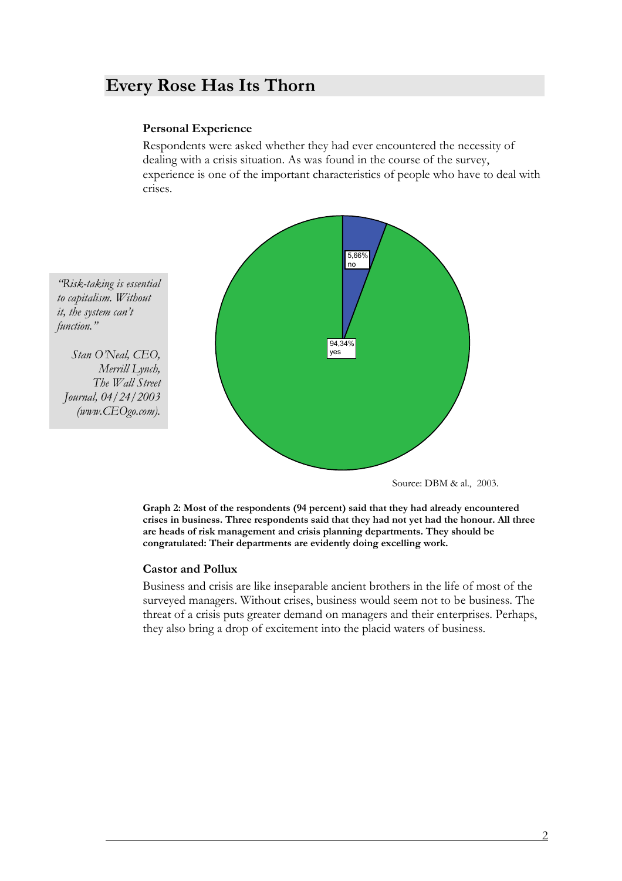### <span id="page-8-0"></span>**Every Rose Has Its Thorn**

### **Personal Experience**

Respondents were asked whether they had ever encountered the necessity of dealing with a crisis situation. As was found in the course of the survey, experience is one of the important characteristics of people who have to deal with crises.



*"Risk-taking is essential to capitalism. Without it, the system can't function."* 

*Stan O'Neal, CEO, Merrill Lynch, The Wall Street Journal, 04/24/2003 (www.CEOgo.com).* 

Source: DBM & al., 2003.

**Graph 2: Most of the respondents (94 percent) said that they had already encountered crises in business. Three respondents said that they had not yet had the honour. All three are heads of risk management and crisis planning departments. They should be congratulated: Their departments are evidently doing excelling work.** 

#### **Castor and Pollux**

Business and crisis are like inseparable ancient brothers in the life of most of the surveyed managers. Without crises, business would seem not to be business. The threat of a crisis puts greater demand on managers and their enterprises. Perhaps, they also bring a drop of excitement into the placid waters of business.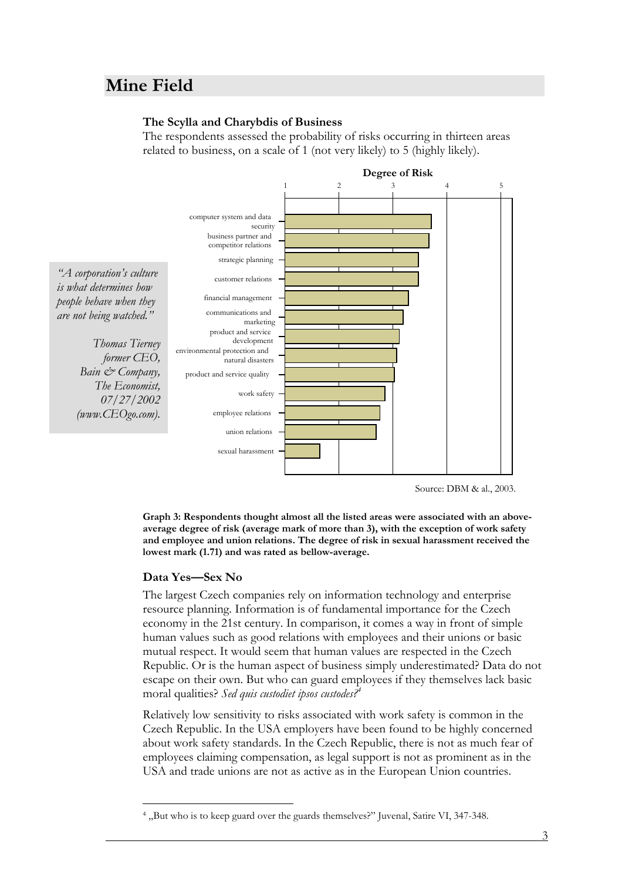### <span id="page-9-0"></span>**Mine Field**

#### **The Scylla and Charybdis of Business**

The respondents assessed the probability of risks occurring in thirteen areas related to business, on a scale of 1 (not very likely) to 5 (highly likely).



Source: DBM & al., 2003.

**Graph 3: Respondents thought almost all the listed areas were associated with an aboveaverage degree of risk (average mark of more than 3), with the exception of work safety and employee and union relations. The degree of risk in sexual harassment received the lowest mark (1.71) and was rated as bellow-average.** 

#### **Data Yes—Sex No**

 $\overline{a}$ 

The largest Czech companies rely on information technology and enterprise resource planning. Information is of fundamental importance for the Czech economy in the 21st century. In comparison, it comes a way in front of simple human values such as good relations with employees and their unions or basic mutual respect. It would seem that human values are respected in the Czech Republic. Or is the human aspect of business simply underestimated? Data do not escape on their own. But who can guard employees if they themselves lack basic moral qualities? *Sed quis custodiet ipsos custodes[?4](#page-9-1)*

Relatively low sensitivity to risks associated with work safety is common in the Czech Republic. In the USA employers have been found to be highly concerned about work safety standards. In the Czech Republic, there is not as much fear of employees claiming compensation, as legal support is not as prominent as in the USA and trade unions are not as active as in the European Union countries.

<span id="page-9-1"></span><sup>&</sup>lt;sup>4</sup>, But who is to keep guard over the guards themselves?" Juvenal, Satire VI, 347-348.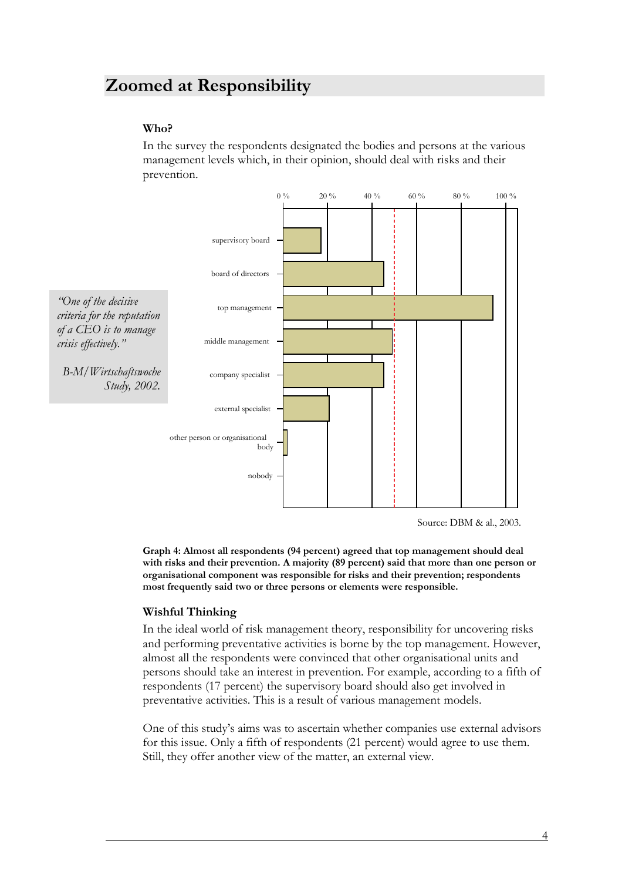### <span id="page-10-0"></span>**Zoomed at Responsibility**

### **Who?**

In the survey the respondents designated the bodies and persons at the various management levels which, in their opinion, should deal with risks and their prevention.



Source: DBM & al., 2003.

**Graph 4: Almost all respondents (94 percent) agreed that top management should deal with risks and their prevention. A majority (89 percent) said that more than one person or organisational component was responsible for risks and their prevention; respondents most frequently said two or three persons or elements were responsible.** 

### **Wishful Thinking**

In the ideal world of risk management theory, responsibility for uncovering risks and performing preventative activities is borne by the top management. However, almost all the respondents were convinced that other organisational units and persons should take an interest in prevention. For example, according to a fifth of respondents (17 percent) the supervisory board should also get involved in preventative activities. This is a result of various management models.

One of this study's aims was to ascertain whether companies use external advisors for this issue. Only a fifth of respondents (21 percent) would agree to use them. Still, they offer another view of the matter, an external view.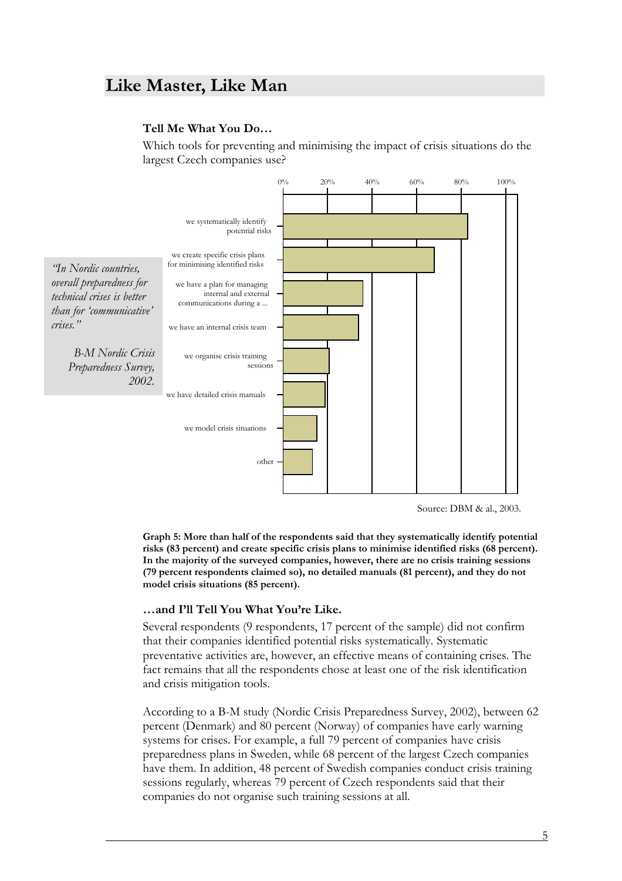### <span id="page-11-0"></span>**Like Master, Like Man**

#### **Tell Me What You Do…**

Which tools for preventing and minimising the impact of crisis situations do the largest Czech companies use?



Source: DBM & al., 2003.

**Graph 5: More than half of the respondents said that they systematically identify potential risks (83 percent) and create specific crisis plans to minimise identified risks (68 percent). In the majority of the surveyed companies, however, there are no crisis training sessions (79 percent respondents claimed so), no detailed manuals (81 percent), and they do not model crisis situations (85 percent).** 

#### **…and I'll Tell You What You're Like.**

Several respondents (9 respondents, 17 percent of the sample) did not confirm that their companies identified potential risks systematically. Systematic preventative activities are, however, an effective means of containing crises. The fact remains that all the respondents chose at least one of the risk identification and crisis mitigation tools.

According to a B-M study (Nordic Crisis Preparedness Survey, 2002), between 62 percent (Denmark) and 80 percent (Norway) of companies have early warning systems for crises. For example, a full 79 percent of companies have crisis preparedness plans in Sweden, while 68 percent of the largest Czech companies have them. In addition, 48 percent of Swedish companies conduct crisis training sessions regularly, whereas 79 percent of Czech respondents said that their companies do not organise such training sessions at all.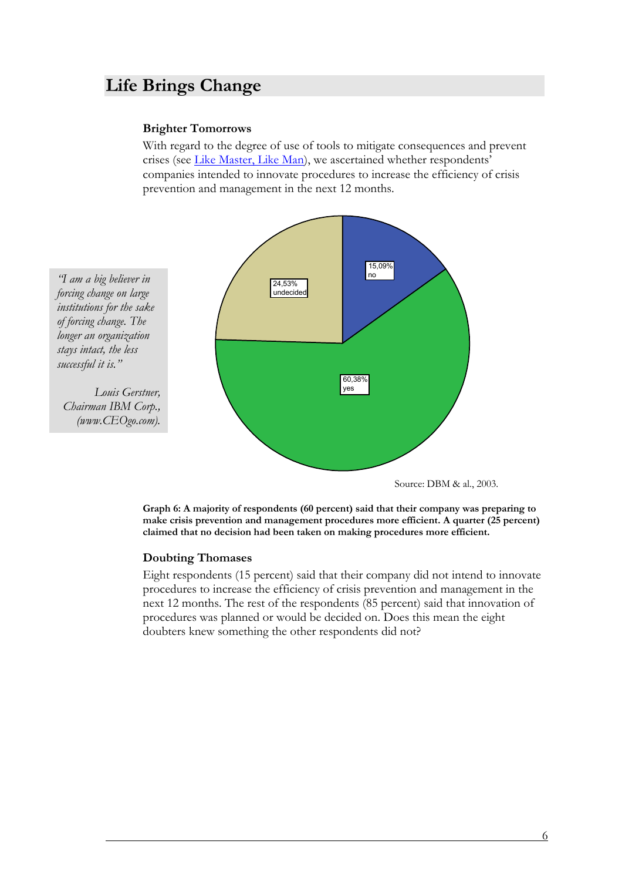### <span id="page-12-0"></span>**Life Brings Change**

#### **Brighter Tomorrows**

With regard to the degree of use of tools to mitigate consequences and prevent crises (see [Like Master, Like Man\)](#page-11-0), we ascertained whether respondents' companies intended to innovate procedures to increase the efficiency of crisis prevention and management in the next 12 months.



Source: DBM & al., 2003.

**Graph 6: A majority of respondents (60 percent) said that their company was preparing to make crisis prevention and management procedures more efficient. A quarter (25 percent) claimed that no decision had been taken on making procedures more efficient.** 

#### **Doubting Thomases**

Eight respondents (15 percent) said that their company did not intend to innovate procedures to increase the efficiency of crisis prevention and management in the next 12 months. The rest of the respondents (85 percent) said that innovation of procedures was planned or would be decided on. Does this mean the eight doubters knew something the other respondents did not?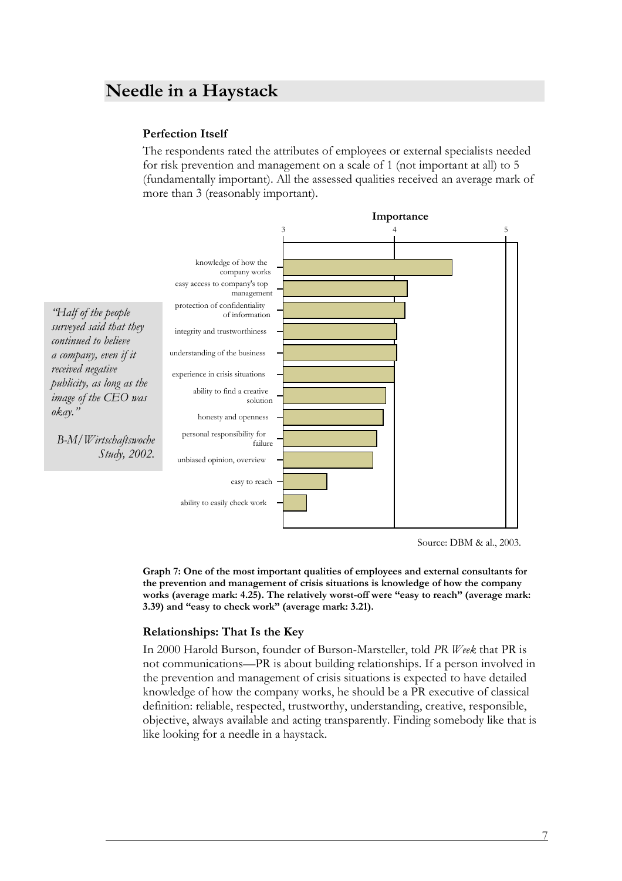### <span id="page-13-0"></span>**Needle in a Haystack**

#### **Perfection Itself**

The respondents rated the attributes of employees or external specialists needed for risk prevention and management on a scale of 1 (not important at all) to 5 (fundamentally important). All the assessed qualities received an average mark of more than 3 (reasonably important).



Source: DBM & al., 2003.

**Graph 7: One of the most important qualities of employees and external consultants for the prevention and management of crisis situations is knowledge of how the company works (average mark: 4.25). The relatively worst-off were "easy to reach" (average mark: 3.39) and "easy to check work" (average mark: 3.21).** 

#### **Relationships: That Is the Key**

In 2000 Harold Burson, founder of Burson-Marsteller, told *PR Week* that PR is not communications—PR is about building relationships. If a person involved in the prevention and management of crisis situations is expected to have detailed knowledge of how the company works, he should be a PR executive of classical definition: reliable, respected, trustworthy, understanding, creative, responsible, objective, always available and acting transparently. Finding somebody like that is like looking for a needle in a haystack.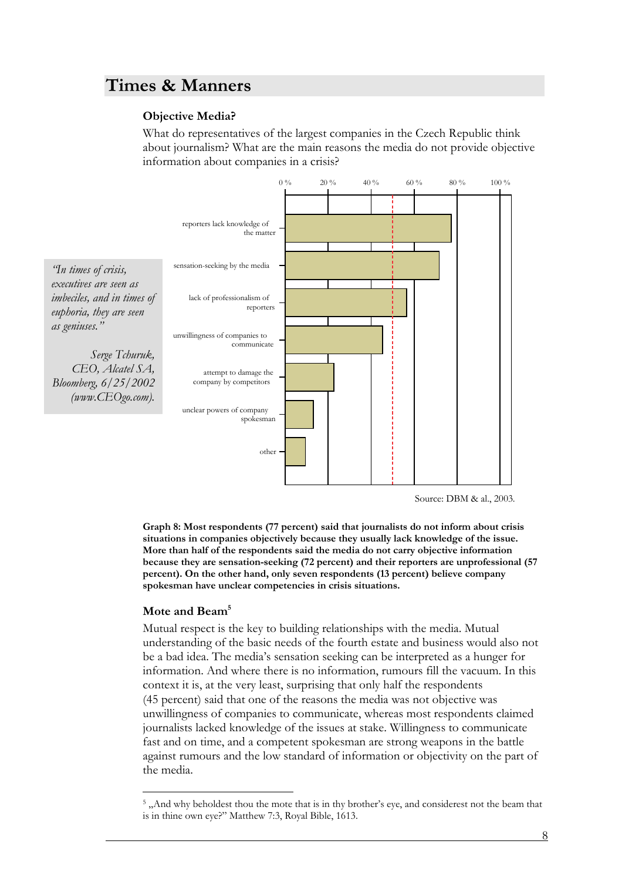### <span id="page-14-0"></span>**Times & Manners**

### **Objective Media?**

What do representatives of the largest companies in the Czech Republic think about journalism? What are the main reasons the media do not provide objective information about companies in a crisis?



Source: DBM & al., 2003.

**Graph 8: Most respondents (77 percent) said that journalists do not inform about crisis situations in companies objectively because they usually lack knowledge of the issue. More than half of the respondents said the media do not carry objective information because they are sensation-seeking (72 percent) and their reporters are unprofessional (57 percent). On the other hand, only seven respondents (13 percent) believe company spokesman have unclear competencies in crisis situations.**

#### **Mote and Beam[5](#page-14-1)**

 $\overline{a}$ 

Mutual respect is the key to building relationships with the media. Mutual be a bad idea. The media's sensation seeking can be interpreted as a hunger for context it is, at the very least, surprising that only half the respondents (45 percent) said that one of the reasons the media was not objective was unwillingness of companies to communicate, whereas most respondents claimed journalists lacked knowledge of the issues at stake. Willingness to communicate fast and on time, and a competent spokesman are strong weapons in the battle against rumours and the low standard of information or objectivity on the part of the media. understanding of the basic needs of the fourth estate and business would also not information. And where there is no information, rumours fill the vacuum. In this

<span id="page-14-1"></span><sup>&</sup>lt;sup>5</sup>, And why beholdest thou the mote that is in thy brother's eye, and considerest not the beam that is in thine own eye?" Matthew 7:3, Royal Bible, 1613.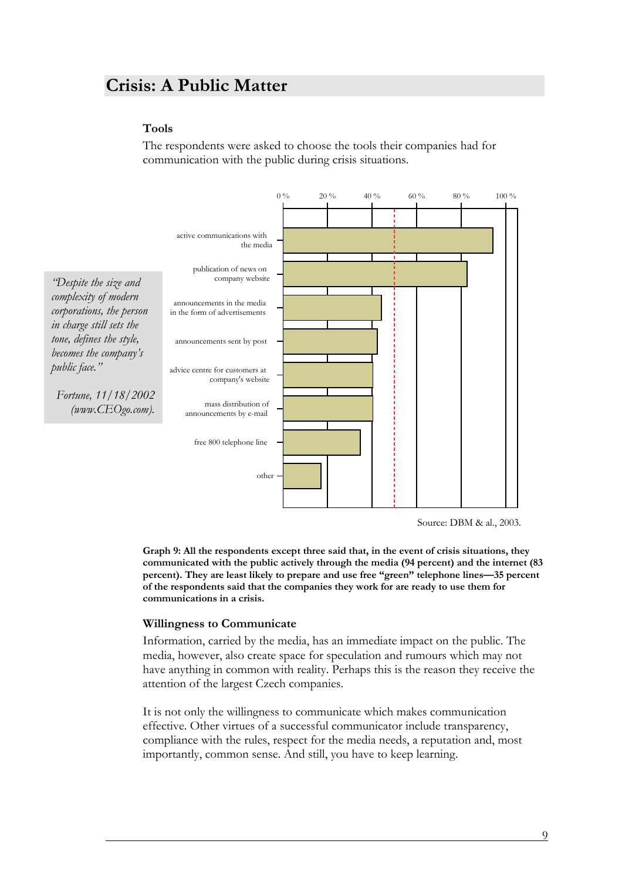### <span id="page-15-0"></span>**Crisis: A Public Matter**

#### **Tools**

The respondents were asked to choose the tools their companies had for communication with the public during crisis situations.



Source: DBM & al., 2003.

**Graph 9: All the respondents except three said that, in the event of crisis situations, they communicated with the public actively through the media (94 percent) and the internet (83 percent). They are least likely to prepare and use free "green" telephone lines—35 percent of the respondents said that the companies they work for are ready to use them for communications in a crisis.**

#### **Willingness to Communicate**

Information, carried by the media, has an immediate impact on the public. The media, however, also create space for speculation and rumours which may not have anything in common with reality. Perhaps this is the reason they receive the attention of the largest Czech companies.

It is not only the willingness to communicate which makes communication effective. Other virtues of a successful communicator include transparency, compliance with the rules, respect for the media needs, a reputation and, most importantly, common sense. And still, you have to keep learning.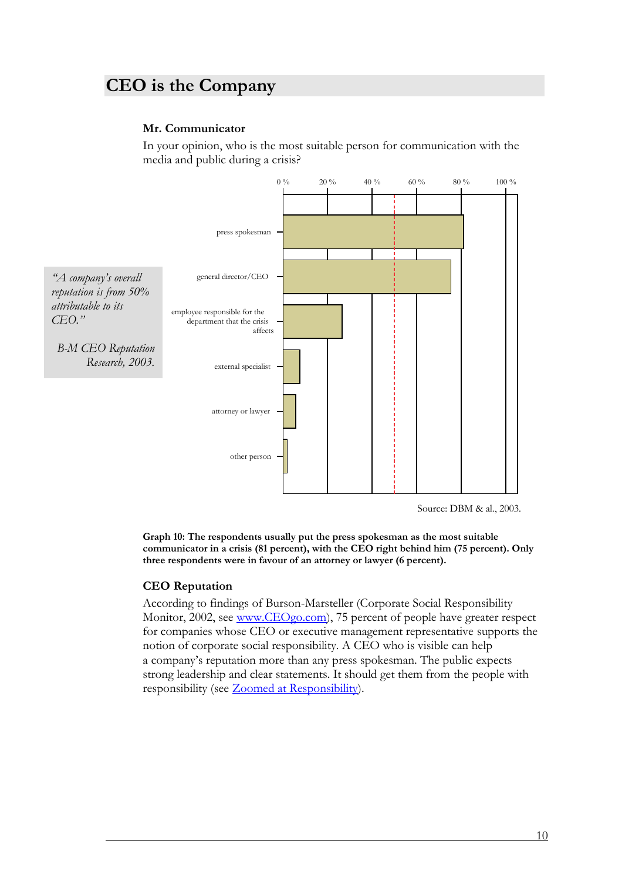### <span id="page-16-0"></span>**CEO is the Company**

### **Mr. Communicator**

In your opinion, who is the most suitable person for communication with the media and public during a crisis?



Source: DBM & al., 2003.

**Graph 10: The respondents usually put the press spokesman as the most suitable communicator in a crisis (81 percent), with the CEO right behind him (75 percent). Only three respondents were in favour of an attorney or lawyer (6 percent).** 

#### **CEO Reputation**

According to findings of Burson-Marsteller (Corporate Social Responsibility Monitor, 2002, see [www.CEOgo.com](http://www.ceogo.com/)), 75 percent of people have greater respect for companies whose CEO or executive management representative supports the notion of corporate social responsibility. A CEO who is visible can help a company's reputation more than any press spokesman. The public expects strong leadership and clear statements. It should get them from the people with responsibility (see [Zoomed at Responsibility](#page-10-0)).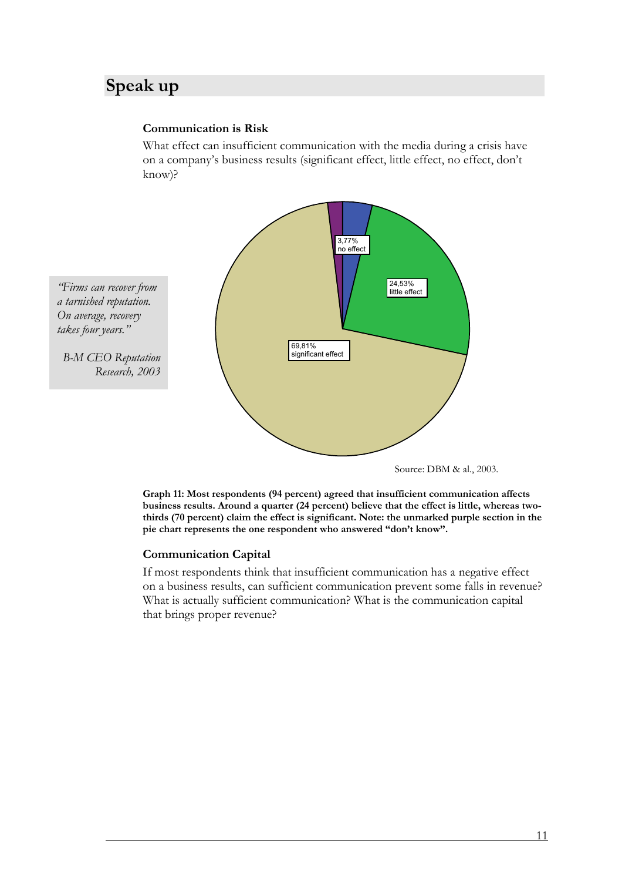### <span id="page-17-0"></span>**Speak up**

### **Communication is Risk**

What effect can insufficient communication with the media during a crisis have on a company's business results (significant effect, little effect, no effect, don't know)?



**Graph 11: Most respondents (94 percent) agreed that insufficient communication affects business results. Around a quarter (24 percent) believe that the effect is little, whereas twothirds (70 percent) claim the effect is significant. Note: the unmarked purple section in the pie chart represents the one respondent who answered "don't know".**

### **Communication Capital**

If most respondents think that insufficient communication has a negative effect on a business results, can sufficient communication prevent some falls in revenue? What is actually sufficient communication? What is the communication capital that brings proper revenue?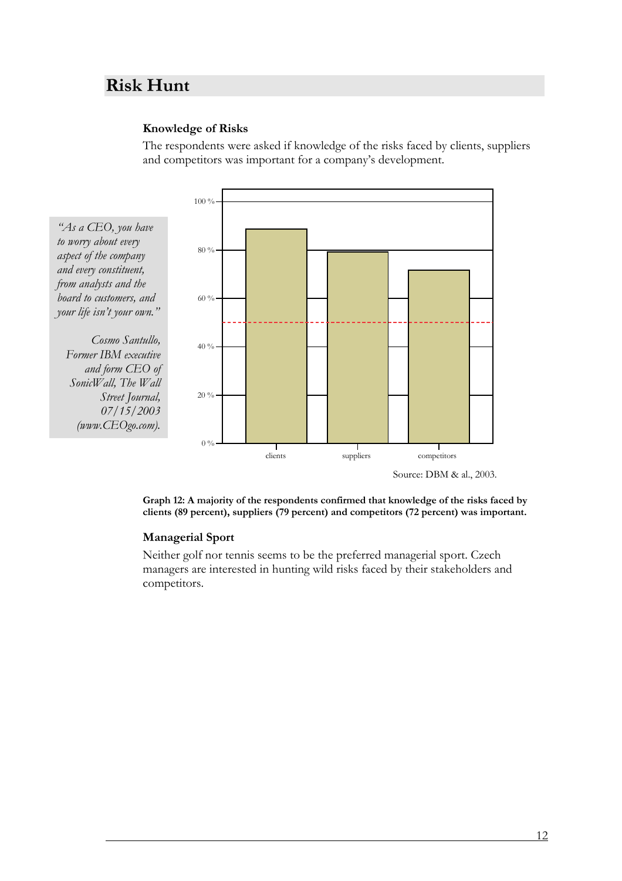### <span id="page-18-0"></span>**Risk Hunt**

#### **Knowledge of Risks**

The respondents were asked if knowledge of the risks faced by clients, suppliers and competitors was important for a company's development.



**Graph 12: A majority of the respondents confirmed that knowledge of the risks faced by clients (89 percent), suppliers (79 percent) and competitors (72 percent) was important.** 

#### **Managerial Sport**

Neither golf nor tennis seems to be the preferred managerial sport. Czech managers are interested in hunting wild risks faced by their stakeholders and competitors.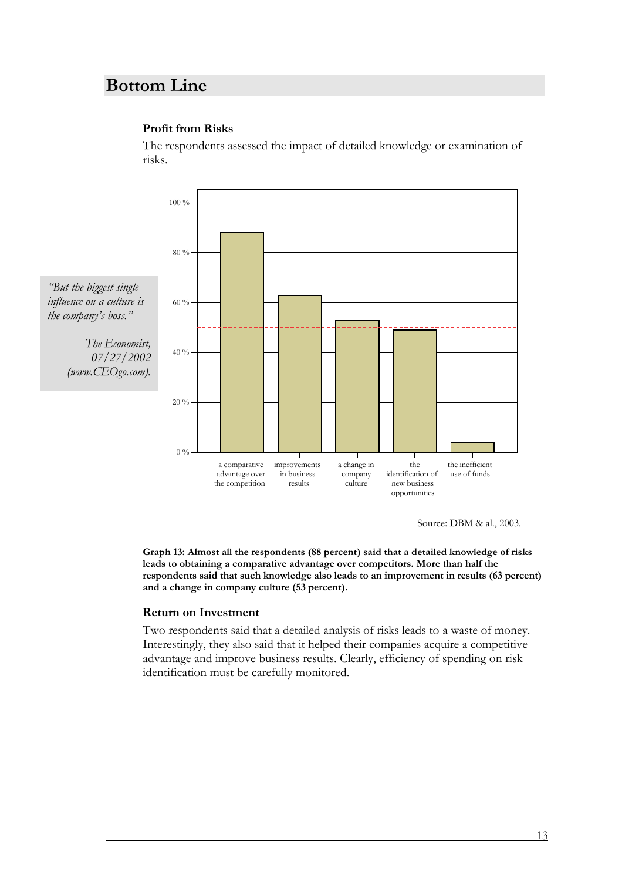### <span id="page-19-0"></span>**Bottom Line**

#### **Profit from Risks**

The respondents assessed the impact of detailed knowledge or examination of risks.



Source: DBM & al., 2003.

**Graph 13: Almost all the respondents (88 percent) said that a detailed knowledge of risks leads to obtaining a comparative advantage over competitors. More than half the respondents said that such knowledge also leads to an improvement in results (63 percent) and a change in company culture (53 percent).** 

#### **Return on Investment**

Two respondents said that a detailed analysis of risks leads to a waste of money. Interestingly, they also said that it helped their companies acquire a competitive advantage and improve business results. Clearly, efficiency of spending on risk identification must be carefully monitored.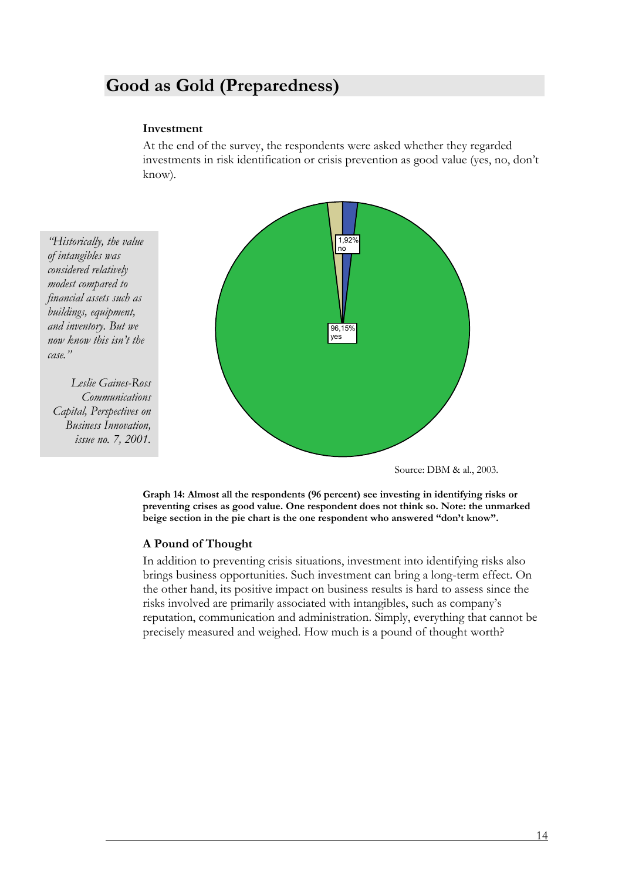### <span id="page-20-0"></span>**Good as Gold (Preparedness)**

#### **Investment**

At the end of the survey, the respondents were asked whether they regarded investments in risk identification or crisis prevention as good value (yes, no, don't know).

*"Historically, the value considered relatively modest compared to financial assets such as buildings, equipment, and inventory. But we case." now know this isn't the of intangibles was* 

*Leslie Gaines-Ross Capital, Perspectives on Business Innovation, issue no. 7, 2001. Communications* 



Source: DBM & al., 2003.

**Graph 14: Almost all the respondents (96 percent) see investing in identifying risks or preventing crises as good value. One respondent does not think so. Note: the unmarked beige section in the pie chart is the one respondent who answered "don't know".** 

#### **A Pound of Thought**

In addition to preventing crisis situations, investment into identifying risks also the other hand, its positive impact on business results is hard to assess since the risks involved are primarily associated with intangibles, such as company's reputation, communication and administration. Simply, everything that cannot be precisely measured and weighed. How much is a pound of thought worth? brings business opportunities. Such investment can bring a long-term effect. On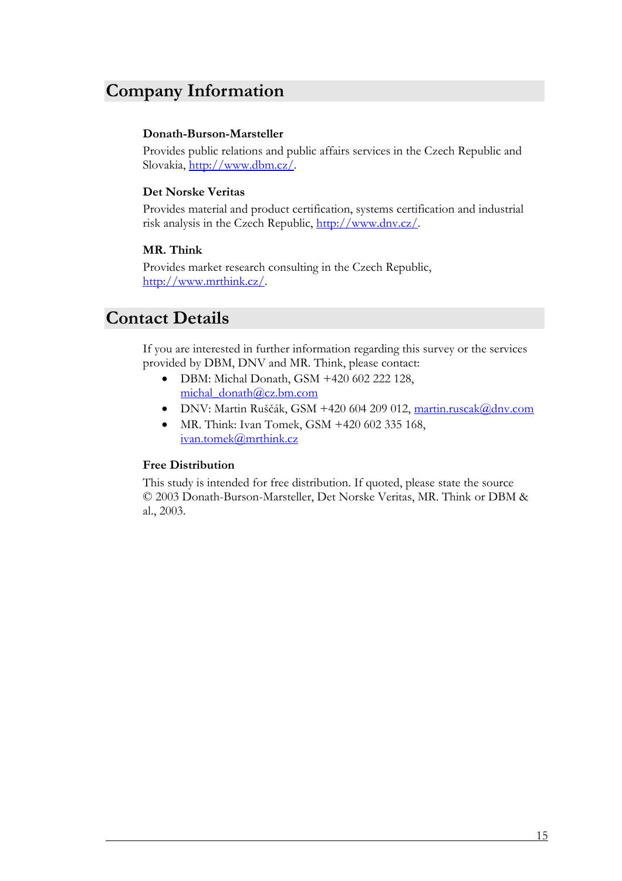### <span id="page-21-0"></span>**Company Information**

### **Donath-Burson-Marsteller**

Provides public relations and public affairs services in the Czech Republic and Slovakia, <http://www.dbm.cz/>.

### **Det Norske Veritas**

Provides material and product certification, systems certification and industrial risk analysis in the Czech Republic, [http://www.dnv.cz/.](http://www.dnv.cz/)

#### **MR. Think**

Provides market research consulting in the Czech Republic, <http://www.mrthink.cz/>.

### **Contact Details**

If you are interested in further information regarding this survey or the services provided by DBM, DNV and MR. Think, please contact:

- DBM: Michal Donath, GSM +420 602 222 128, [michal\\_donath@cz.bm.com](mailto:michal_donath@cz.bm.com?subject=Zprava%20z%20pruzkumu%20vnimani%20rizik%20a%20krizi%20(DNV,%20DBM,%20MR.%20THINK),%202003)
- · DNV: Martin Ruščák, GSM +420 604 209 012, [martin.ruscak@dnv.com](mailto:martin.ruscak@dnv.com?subject=Zprava%20z%20pruzkumu%20vnimani%20rizik%20a%20krizi%20(DNV,%20DBM,%20MR.%20THINK),%202003)
- MR. Think: Ivan Tomek, GSM +420 602 335 168, [ivan.tomek@mrthink.cz](mailto:ivan.tomek@mrthink.cz?subject=Zprava%20z%20pruzkumu%20vnimani%20rizik%20a%20krizi%20(DNV,%20DBM,%20MR.%20THINK),%202003)

#### **Free Distribution**

This study is intended for free distribution. If quoted, please state the source © 2003 Donath-Burson-Marsteller, Det Norske Veritas, MR. Think or DBM & al., 2003.